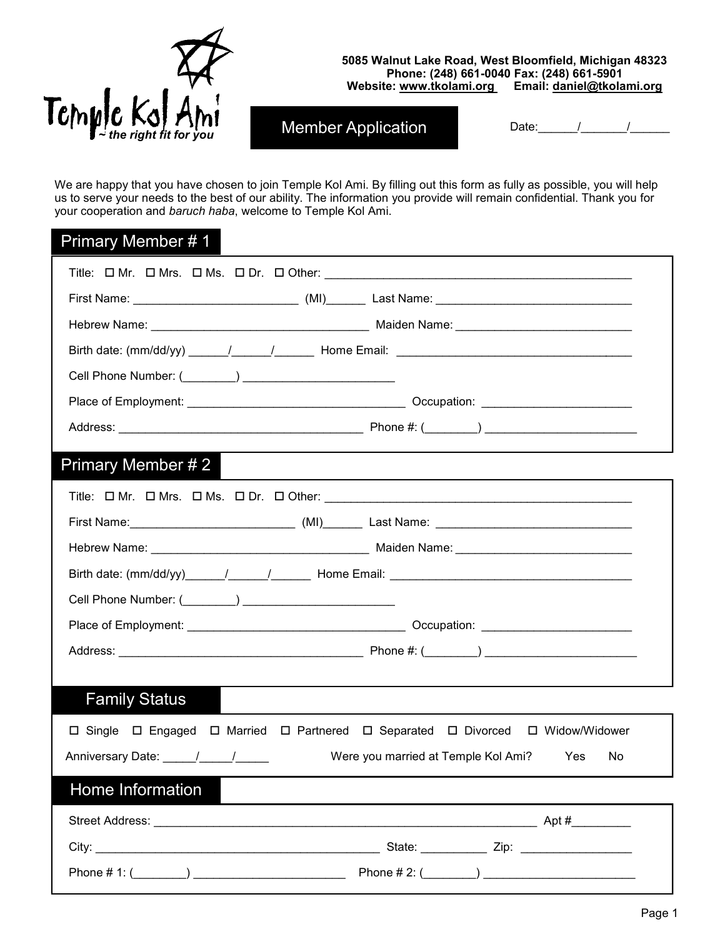

#### **5085 Walnut Lake Road, West Bloomfield, Michigan 48323 Phone: (248) 661-0040 Fax: (248) 661-5901 Website: www.tkolami.org Email: daniel@tkolami.org**

Member Application Date: Date: Demographic

We are happy that you have chosen to join Temple Kol Ami. By filling out this form as fully as possible, you will help us to serve your needs to the best of our ability. The information you provide will remain confidential. Thank you for your cooperation and *baruch haba*, welcome to Temple Kol Ami.

#### Primary Member # 1

| First Name: ________________________________(MI)_________Last Name: ________________________________                                                                                                                           |                                                          |  |
|--------------------------------------------------------------------------------------------------------------------------------------------------------------------------------------------------------------------------------|----------------------------------------------------------|--|
|                                                                                                                                                                                                                                |                                                          |  |
|                                                                                                                                                                                                                                |                                                          |  |
|                                                                                                                                                                                                                                |                                                          |  |
|                                                                                                                                                                                                                                |                                                          |  |
|                                                                                                                                                                                                                                |                                                          |  |
| Primary Member # 2                                                                                                                                                                                                             |                                                          |  |
|                                                                                                                                                                                                                                |                                                          |  |
|                                                                                                                                                                                                                                |                                                          |  |
|                                                                                                                                                                                                                                |                                                          |  |
|                                                                                                                                                                                                                                |                                                          |  |
|                                                                                                                                                                                                                                |                                                          |  |
|                                                                                                                                                                                                                                |                                                          |  |
|                                                                                                                                                                                                                                |                                                          |  |
|                                                                                                                                                                                                                                |                                                          |  |
| <b>Family Status</b>                                                                                                                                                                                                           |                                                          |  |
| □ Single □ Engaged □ Married □ Partnered □ Separated □ Divorced □ Widow/Widower                                                                                                                                                |                                                          |  |
| Anniversary Date: _____/_____/______                                                                                                                                                                                           | Were you married at Temple Kol Ami?<br><b>Yes</b><br>No. |  |
| Home Information                                                                                                                                                                                                               |                                                          |  |
| Street Address: Application of the Contract of the Contract of the Contract of the Contract of the Contract of the Contract of the Contract of the Contract of the Contract of the Contract of the Contract of the Contract of |                                                          |  |
|                                                                                                                                                                                                                                |                                                          |  |
|                                                                                                                                                                                                                                |                                                          |  |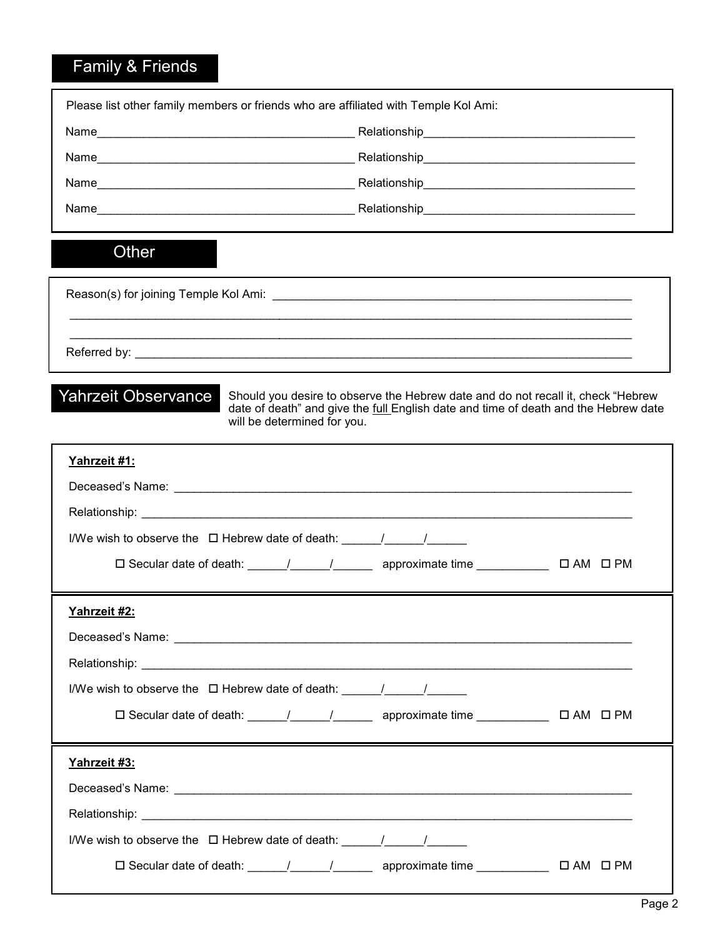# Family & Friends

| Please list other family members or friends who are affiliated with Temple Kol Ami:     |                             |                                                                                                                                                                         |  |
|-----------------------------------------------------------------------------------------|-----------------------------|-------------------------------------------------------------------------------------------------------------------------------------------------------------------------|--|
|                                                                                         |                             |                                                                                                                                                                         |  |
|                                                                                         |                             |                                                                                                                                                                         |  |
|                                                                                         |                             |                                                                                                                                                                         |  |
|                                                                                         |                             |                                                                                                                                                                         |  |
| Other                                                                                   |                             |                                                                                                                                                                         |  |
|                                                                                         |                             |                                                                                                                                                                         |  |
|                                                                                         |                             |                                                                                                                                                                         |  |
| <b>Yahrzeit Observance</b>                                                              | will be determined for you. | Should you desire to observe the Hebrew date and do not recall it, check "Hebrew<br>date of death" and give the full English date and time of death and the Hebrew date |  |
| Yahrzeit #1:                                                                            |                             |                                                                                                                                                                         |  |
|                                                                                         |                             |                                                                                                                                                                         |  |
|                                                                                         |                             |                                                                                                                                                                         |  |
| I/We wish to observe the $\Box$ Hebrew date of death: $\Box$                            |                             |                                                                                                                                                                         |  |
|                                                                                         |                             |                                                                                                                                                                         |  |
| Yahrzeit #2:                                                                            |                             |                                                                                                                                                                         |  |
|                                                                                         |                             |                                                                                                                                                                         |  |
|                                                                                         |                             |                                                                                                                                                                         |  |
| I/We wish to observe the $\Box$ Hebrew date of death: $\Box$                            |                             |                                                                                                                                                                         |  |
|                                                                                         |                             | □ Secular date of death: ______/ _____/ _______ approximate time ____________ □ AM □ PM                                                                                 |  |
| Yahrzeit #3:                                                                            |                             |                                                                                                                                                                         |  |
|                                                                                         |                             |                                                                                                                                                                         |  |
|                                                                                         |                             |                                                                                                                                                                         |  |
| I/We wish to observe the $\Box$ Hebrew date of death: $\frac{1}{\Box}$ $\frac{1}{\Box}$ |                             |                                                                                                                                                                         |  |
|                                                                                         |                             | □ Secular date of death: _____/ _____/ _______ approximate time ____________ □ AM □ PM                                                                                  |  |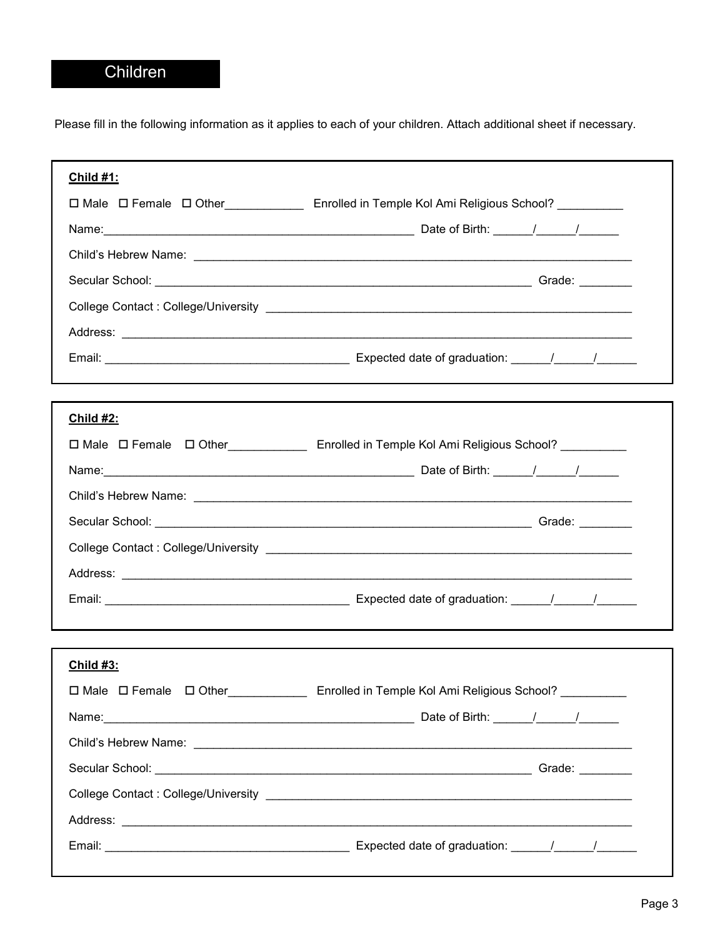## Children

Please fill in the following information as it applies to each of your children. Attach additional sheet if necessary.

| <b>Child #1:</b> |                                                                                                     |
|------------------|-----------------------------------------------------------------------------------------------------|
|                  | □ Male □ Female □ Other Enrolled in Temple Kol Ami Religious School?                                |
|                  |                                                                                                     |
|                  |                                                                                                     |
|                  |                                                                                                     |
|                  |                                                                                                     |
|                  |                                                                                                     |
|                  |                                                                                                     |
|                  |                                                                                                     |
| <b>Child #2:</b> |                                                                                                     |
|                  | □ Male □ Female □ Other_____________ Enrolled in Temple Kol Ami Religious School? _________         |
|                  |                                                                                                     |
|                  |                                                                                                     |
|                  |                                                                                                     |
|                  |                                                                                                     |
|                  |                                                                                                     |
|                  |                                                                                                     |
|                  |                                                                                                     |
| <u>Child #3:</u> |                                                                                                     |
|                  | □ Male □ Female □ Other_____________________ Enrolled in Temple Kol Ami Religious School? _________ |
|                  |                                                                                                     |
|                  |                                                                                                     |
|                  |                                                                                                     |
|                  |                                                                                                     |
|                  |                                                                                                     |
|                  |                                                                                                     |